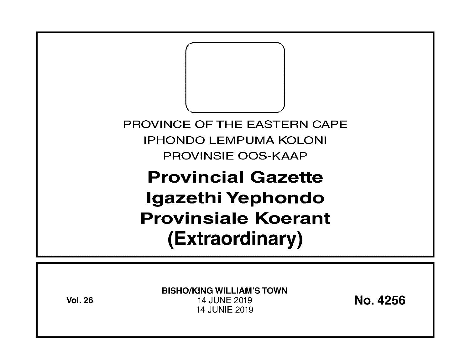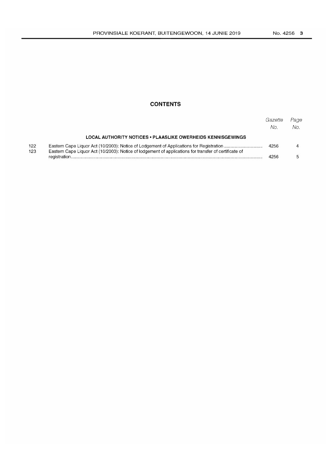### **CONTENTS**

|            |                                                                                                       | Gazette<br>No. | Page<br>No. |
|------------|-------------------------------------------------------------------------------------------------------|----------------|-------------|
|            | LOCAL AUTHORITY NOTICES • PLAASLIKE OWERHEIDS KENNISGEWINGS                                           |                |             |
| 122<br>123 | Eastern Cape Liquor Act (10/2003): Notice of lodgement of applications for transfer of certificate of | 4256           |             |
|            |                                                                                                       |                |             |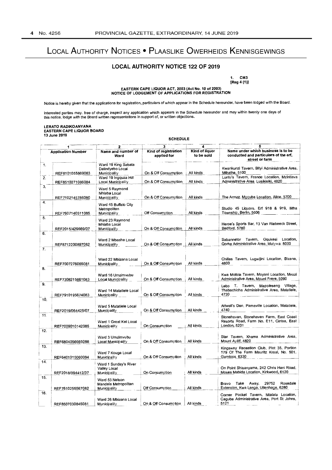## LOCAL AUTHORITY NOTICES • PLAASLIKE OWERHEIDS KENNISGEWINGS

### **LOCAL AUTHORITY NOTICE 122 OF 2019**

1. CM3 [Reg 4 (1)]

EASTERN CAPE LIQUOR ACT, 2003 (Act No. 10 of 2003) NOTICE OF LODGEMENT OF APPLICATIONS FOR REGISTRATION

Notice is hereby given that the applications for registration, particulars of which appear in the Schedule hereunder, have been lodged with the Board.

Interested parties may, free of charge, inspect any application which appears in the Schedule hereunder and may within twenty one days of<br>this notice, lodge with the Board written representations in support of, or written

# LERATO RADIKOANYANA<br>EASTERN CAPE LIQUOR BOARD<br>13 June 2019

SCHEDULE

|                           |                   | 3                                                              |                                     |                              | 5                                                                                                     |  |
|---------------------------|-------------------|----------------------------------------------------------------|-------------------------------------|------------------------------|-------------------------------------------------------------------------------------------------------|--|
| <b>Application Number</b> |                   | Name and number of<br>Ward                                     | Kind of registration<br>applied for | Kind of liquor<br>to be sold | Name under which business is to be<br>conducted and particulars of the erf,<br>street or farm         |  |
| 1.                        | REF8101055869083  | Ward 19 King Sabata<br>Dalindyebo Local<br><b>Municipality</b> | On & Off Consumption                | All kinds                    | Kwankunzi Tavern, Bityi Administrative Area,<br>Mthatha, 5100                                         |  |
| $\overline{2}$ .          | REF8510271086084  | Ward 19 Ingquza Hill<br>Local Municipality                     | On & Off Consumption                | All kinds                    | Luntu's Tavern, France Location, Mzintlava<br>Administrative Area. Lusikisiki, 4820                   |  |
| 3.                        | REF7102145786080  | Ward 5 Raymond<br>Mhlaba Local<br><b>Municipality</b>          | On & Off Consumption                | All kinds                    | The Armzz. Mgquba Location. Alice, 5700                                                               |  |
| 4.                        | REF7607140511085  | Ward 45 Buffalo City<br>Metropolitan<br>Municipality           | Off Consumption                     | All kinds                    | Studio 45 Liquors, Erf 918 & 919, llitha<br>Township, Berlin, 5606                                    |  |
| 5.                        | REF2015/429669/07 | Ward 23 Raymond<br>Mhlaba Local<br>Municipality                | On & Off Consumption                | All kinds                    | Heroe's Sports Bar, 13 Van Riebeeck Street,<br>Bedford, 5780                                          |  |
| 6.                        | REF8712200897082  | Ward 2 Mbashe Local<br>Municipality                            | On & Off Consumption                | All kinds                    | Sabannetor Tavern,<br>Gqukesi Location,<br>Qorha Administrative Area, Idutywa. 5000                   |  |
| 7.                        | REF7007276065081  | Ward 22 Mbizana Local<br>Municipality                          | On & Off Consumption                | All kinds                    | Chillas Tavern, Lugwijini Location, Bizana,<br>4800                                                   |  |
| 8.                        | REF7308215661083  | Ward 16 Umzim vubu<br>Local Municipality                       | On & Off Consumption                | All kinds                    | Kwa Mofola Tavern, Moyani Location, Mvuzi<br>Administrative Area, Mount Frere, 5090                   |  |
| 9.                        | REF7910195674083  | Ward 14 Matatiele Local<br>Municipality                        | On & Off Consumption                | All kinds                    | Lebo T. Tavern, Mapoleseng Village,<br>Thabachicha Administrative Area. Matatiele,<br>4730            |  |
| 10.                       | REF2019/064425/07 | Ward 5 Matatiele Local<br>Muncipality                          | On & Off Consumption                | All kinds                    | Attwell's Den, Pamaville Location, Matatiele,<br>4740                                                 |  |
| 11.                       | REF7009010142085  | Ward 1 Great Kei Local<br>Municipality                         | On Consumption                      | All kinds                    | Stonehaven, Stonehaven Farm, East Coast<br>Resorts Road, Farm No. E11, Cintsa, East<br>London, 5201   |  |
| 12.                       | REF6804056665088  | Ward 3 Umzimvubu<br>Local Municipality                         | On & Off Consumption                | All kinds                    | Star Tavern, Xhama Administrative Area,<br>Mount Ayliff, 4820                                         |  |
| 13.                       | REF6401015060084  | Ward 7 Kouga Local<br>Municipality                             | On & Off Consumption                | All kinds                    | Kingsway Receation Club, Plot 35, Portion<br>179 Of The Farm Mauritz Kraal, No. 501,<br>Gamtoos. 6330 |  |
| 14.                       | REF2018/094412/07 | Ward 1 Sunday's River<br>Valley Local<br>Municipality          | On Consumption                      | All kinds                    | On Point Shisanyama, 242 Chris Hani Road,<br>Moses Mabida Location, Kirkwood, 6120                    |  |
| 15.                       | REF7610255567082  | Ward 53 Nelson<br>Mandela Metropolitan<br><b>Municipality</b>  | Off Consumption                     | All kinds                    | Take<br>Away,<br>29752<br>Rosedale<br>Bravo<br>Extension, Kwa Langa, Uitenhage, 6280                  |  |
| 16.                       | REF8507030845081  | Ward 26 Mbizana Local<br><b>Municipality</b>                   | On & Off Consumption                | All kinds                    | Corner Pocket Tavern, Mtalala Location,<br>Caguba Administrative Area, Port St Johns,<br>5121         |  |